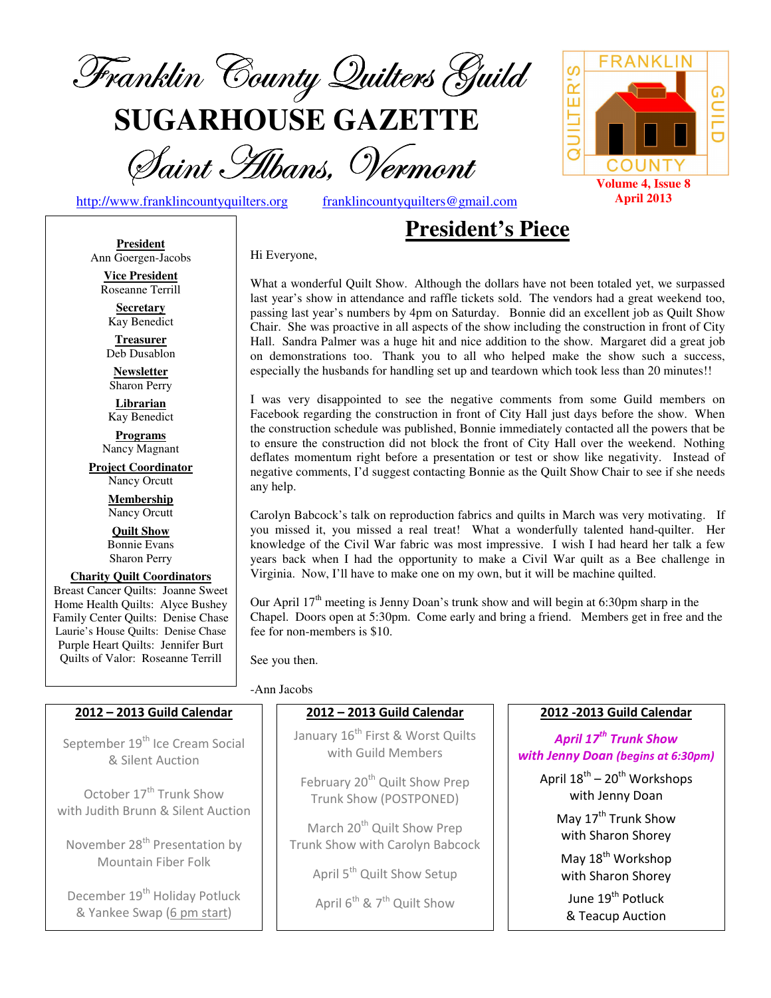

**SUGARHOUSE GAZETTE**

Saint Hibans, Vermont

Hi Everyone,

http://www.franklincountyquilters.org franklincountyquilters@gmail.com

# **President's Piece**

**President** Ann Goergen-Jacobs

> **Vice President**  Roseanne Terrill

**Secretary**  Kay Benedict

**Treasurer**  Deb Dusablon

**Newsletter**  Sharon Perry

**Librarian**  Kay Benedict

**Programs** Nancy Magnant

**Project Coordinator** Nancy Orcutt

> **Membership**  Nancy Orcutt

**Quilt Show** Bonnie Evans Sharon Perry

**Charity Quilt Coordinators** Breast Cancer Quilts: Joanne Sweet Home Health Quilts: Alyce Bushey Family Center Quilts: Denise Chase Laurie's House Quilts: Denise Chase Purple Heart Quilts: Jennifer Burt Quilts of Valor: Roseanne Terrill

What a wonderful Quilt Show. Although the dollars have not been totaled yet, we surpassed last year's show in attendance and raffle tickets sold. The vendors had a great weekend too, passing last year's numbers by 4pm on Saturday. Bonnie did an excellent job as Quilt Show Chair. She was proactive in all aspects of the show including the construction in front of City Hall. Sandra Palmer was a huge hit and nice addition to the show. Margaret did a great job on demonstrations too. Thank you to all who helped make the show such a success, especially the husbands for handling set up and teardown which took less than 20 minutes!!

I was very disappointed to see the negative comments from some Guild members on Facebook regarding the construction in front of City Hall just days before the show. When the construction schedule was published, Bonnie immediately contacted all the powers that be to ensure the construction did not block the front of City Hall over the weekend. Nothing deflates momentum right before a presentation or test or show like negativity. Instead of negative comments, I'd suggest contacting Bonnie as the Quilt Show Chair to see if she needs any help.

Carolyn Babcock's talk on reproduction fabrics and quilts in March was very motivating. If you missed it, you missed a real treat! What a wonderfully talented hand-quilter. Her knowledge of the Civil War fabric was most impressive. I wish I had heard her talk a few years back when I had the opportunity to make a Civil War quilt as a Bee challenge in Virginia. Now, I'll have to make one on my own, but it will be machine quilted.

Our April  $17<sup>th</sup>$  meeting is Jenny Doan's trunk show and will begin at 6:30pm sharp in the Chapel. Doors open at 5:30pm. Come early and bring a friend. Members get in free and the fee for non-members is \$10.

See you then.

#### -Ann Jacobs

#### 2012 – 2013 Guild Calendar

September 19<sup>th</sup> Ice Cream Social & Silent Auction

October 17<sup>th</sup> Trunk Show with Judith Brunn & Silent Auction

November 28<sup>th</sup> Presentation by Mountain Fiber Folk

December 19<sup>th</sup> Holiday Potluck & Yankee Swap (6 pm start)

## 2012 – 2013 Guild Calendar

January 16<sup>th</sup> First & Worst Quilts with Guild Members

February 20<sup>th</sup> Quilt Show Prep Trunk Show (POSTPONED)

March 20<sup>th</sup> Quilt Show Prep Trunk Show with Carolyn Babcock

April 5<sup>th</sup> Quilt Show Setup

April  $6^{th}$  &  $7^{th}$  Quilt Show

#### 2012 -2013 Guild Calendar

April  $17^{th}$  Trunk Show with Jenny Doan (begins at 6:30pm)

April  $18^{th}$  –  $20^{th}$  Workshops with Jenny Doan May 17<sup>th</sup> Trunk Show

with Sharon Shorey

May 18<sup>th</sup> Workshop with Sharon Shorey

June 19<sup>th</sup> Potluck & Teacup Auction

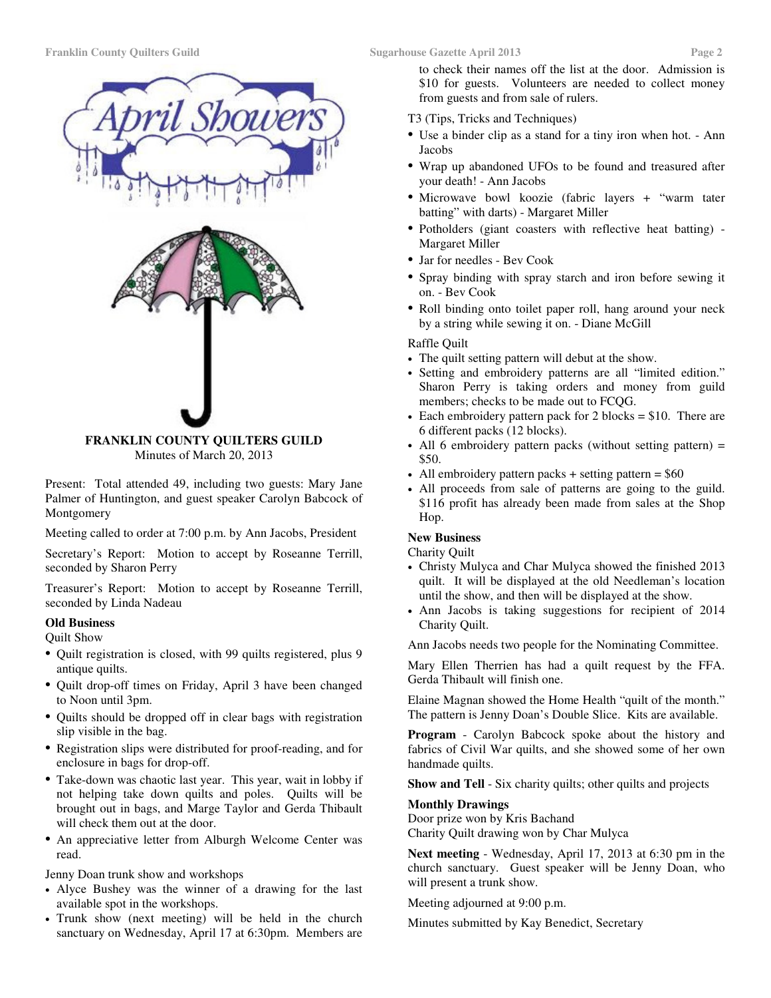

Minutes of March 20, 2013

Present: Total attended 49, including two guests: Mary Jane Palmer of Huntington, and guest speaker Carolyn Babcock of Montgomery

Meeting called to order at 7:00 p.m. by Ann Jacobs, President

Secretary's Report: Motion to accept by Roseanne Terrill, seconded by Sharon Perry

Treasurer's Report: Motion to accept by Roseanne Terrill, seconded by Linda Nadeau

#### **Old Business**

#### Quilt Show

- Quilt registration is closed, with 99 quilts registered, plus 9 antique quilts.
- Quilt drop-off times on Friday, April 3 have been changed to Noon until 3pm.
- Quilts should be dropped off in clear bags with registration slip visible in the bag.
- Registration slips were distributed for proof-reading, and for enclosure in bags for drop-off.
- Take-down was chaotic last year. This year, wait in lobby if not helping take down quilts and poles. Quilts will be brought out in bags, and Marge Taylor and Gerda Thibault will check them out at the door.
- An appreciative letter from Alburgh Welcome Center was read.

Jenny Doan trunk show and workshops

- Alyce Bushey was the winner of a drawing for the last available spot in the workshops.
- Trunk show (next meeting) will be held in the church sanctuary on Wednesday, April 17 at 6:30pm. Members are

to check their names off the list at the door. Admission is \$10 for guests. Volunteers are needed to collect money from guests and from sale of rulers.

- T3 (Tips, Tricks and Techniques)
- Use a binder clip as a stand for a tiny iron when hot. Ann Jacobs
- Wrap up abandoned UFOs to be found and treasured after your death! - Ann Jacobs
- Microwave bowl koozie (fabric layers + "warm tater batting" with darts) - Margaret Miller
- Potholders (giant coasters with reflective heat batting) Margaret Miller
- Jar for needles Bev Cook
- Spray binding with spray starch and iron before sewing it on. - Bev Cook
- Roll binding onto toilet paper roll, hang around your neck by a string while sewing it on. - Diane McGill

#### Raffle Quilt

- The quilt setting pattern will debut at the show.
- Setting and embroidery patterns are all "limited edition." Sharon Perry is taking orders and money from guild members; checks to be made out to FCQG.
- Each embroidery pattern pack for 2 blocks  $= $10$ . There are 6 different packs (12 blocks).
- All 6 embroidery pattern packs (without setting pattern) = \$50.
- All embroidery pattern packs  $+$  setting pattern  $=$  \$60
- All proceeds from sale of patterns are going to the guild. \$116 profit has already been made from sales at the Shop Hop.

#### **New Business**

#### Charity Quilt

- Christy Mulyca and Char Mulyca showed the finished 2013 quilt. It will be displayed at the old Needleman's location until the show, and then will be displayed at the show.
- Ann Jacobs is taking suggestions for recipient of 2014 Charity Quilt.

Ann Jacobs needs two people for the Nominating Committee.

Mary Ellen Therrien has had a quilt request by the FFA. Gerda Thibault will finish one.

Elaine Magnan showed the Home Health "quilt of the month." The pattern is Jenny Doan's Double Slice. Kits are available.

**Program** - Carolyn Babcock spoke about the history and fabrics of Civil War quilts, and she showed some of her own handmade quilts.

**Show and Tell** - Six charity quilts; other quilts and projects

#### **Monthly Drawings**

Door prize won by Kris Bachand Charity Quilt drawing won by Char Mulyca

**Next meeting** - Wednesday, April 17, 2013 at 6:30 pm in the church sanctuary. Guest speaker will be Jenny Doan, who will present a trunk show.

Meeting adjourned at 9:00 p.m.

Minutes submitted by Kay Benedict, Secretary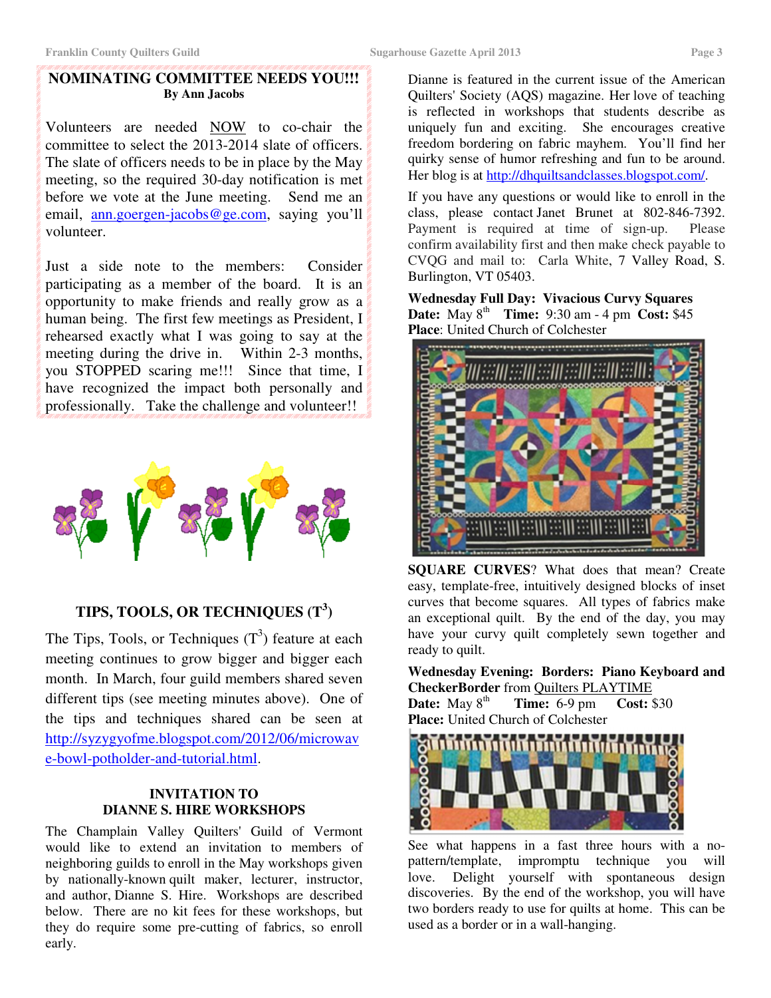#### **NOMINATING COMMITTEE NEEDS YOU!!! By Ann Jacobs**

Volunteers are needed NOW to co-chair the committee to select the 2013-2014 slate of officers. The slate of officers needs to be in place by the May meeting, so the required 30-day notification is met before we vote at the June meeting. Send me an email, ann.goergen-jacobs@ge.com, saying you'll volunteer.

Just a side note to the members: Consider participating as a member of the board. It is an opportunity to make friends and really grow as a human being. The first few meetings as President, I rehearsed exactly what I was going to say at the meeting during the drive in. Within 2-3 months, you STOPPED scaring me!!! Since that time, I have recognized the impact both personally and professionally. Take the challenge and volunteer!!



# **TIPS, TOOLS, OR TECHNIQUES (T<sup>3</sup> )**

The Tips, Tools, or Techniques  $(T^3)$  feature at each meeting continues to grow bigger and bigger each month. In March, four guild members shared seven different tips (see meeting minutes above). One of the tips and techniques shared can be seen at http://syzygyofme.blogspot.com/2012/06/microwav e-bowl-potholder-and-tutorial.html.

#### **INVITATION TO DIANNE S. HIRE WORKSHOPS**

The Champlain Valley Quilters' Guild of Vermont would like to extend an invitation to members of neighboring guilds to enroll in the May workshops given by nationally-known quilt maker, lecturer, instructor, and author, Dianne S. Hire. Workshops are described below. There are no kit fees for these workshops, but they do require some pre-cutting of fabrics, so enroll early.

Dianne is featured in the current issue of the American Quilters' Society (AQS) magazine. Her love of teaching is reflected in workshops that students describe as uniquely fun and exciting. She encourages creative freedom bordering on fabric mayhem. You'll find her quirky sense of humor refreshing and fun to be around. Her blog is at http://dhquiltsandclasses.blogspot.com/.

If you have any questions or would like to enroll in the class, please contact Janet Brunet at 802-846-7392. Payment is required at time of sign-up. Please confirm availability first and then make check payable to CVQG and mail to: Carla White, 7 Valley Road, S. Burlington, VT 05403.

**Wednesday Full Day: Vivacious Curvy Squares Date:** May  $8^{th}$  **Time:** 9:30 am - 4 pm **Cost:** \$45 **Place**: United Church of Colchester



**SQUARE CURVES**? What does that mean? Create easy, template-free, intuitively designed blocks of inset curves that become squares. All types of fabrics make an exceptional quilt. By the end of the day, you may have your curvy quilt completely sewn together and ready to quilt.

**Wednesday Evening: Borders: Piano Keyboard and CheckerBorder** from Quilters PLAYTIME **Date:** May 8<sup>th</sup> **Time:** 6-9 pm **Cost:** \$30

**Place:** United Church of Colchester



See what happens in a fast three hours with a nopattern/template, impromptu technique you will love. Delight yourself with spontaneous design discoveries. By the end of the workshop, you will have two borders ready to use for quilts at home. This can be used as a border or in a wall-hanging.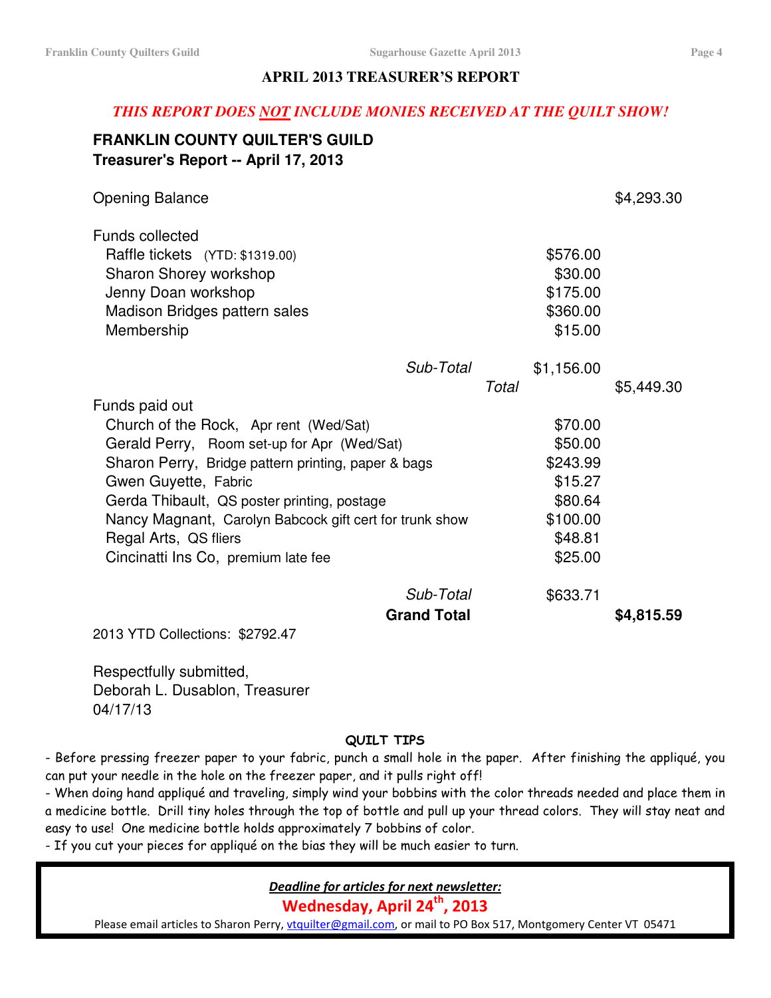### **APRIL 2013 TREASURER'S REPORT**

#### *THIS REPORT DOES NOT INCLUDE MONIES RECEIVED AT THE QUILT SHOW!*

# **FRANKLIN COUNTY QUILTER'S GUILD Treasurer's Report -- April 17, 2013**

| <b>Opening Balance</b>                                  |                    |       |            | \$4,293.30 |
|---------------------------------------------------------|--------------------|-------|------------|------------|
| <b>Funds collected</b>                                  |                    |       |            |            |
| Raffle tickets (YTD: \$1319.00)                         |                    |       | \$576.00   |            |
| Sharon Shorey workshop                                  |                    |       | \$30.00    |            |
| Jenny Doan workshop                                     |                    |       | \$175.00   |            |
| Madison Bridges pattern sales                           |                    |       | \$360.00   |            |
| Membership                                              |                    |       | \$15.00    |            |
|                                                         | Sub-Total          |       | \$1,156.00 |            |
|                                                         |                    | Total |            | \$5,449.30 |
| Funds paid out                                          |                    |       |            |            |
| Church of the Rock, Apr rent (Wed/Sat)                  |                    |       | \$70.00    |            |
| Gerald Perry, Room set-up for Apr (Wed/Sat)             |                    |       | \$50.00    |            |
| Sharon Perry, Bridge pattern printing, paper & bags     |                    |       | \$243.99   |            |
| Gwen Guyette, Fabric                                    |                    |       | \$15.27    |            |
| Gerda Thibault, QS poster printing, postage             |                    |       | \$80.64    |            |
| Nancy Magnant, Carolyn Babcock gift cert for trunk show |                    |       | \$100.00   |            |
| Regal Arts, QS fliers                                   |                    |       | \$48.81    |            |
| Cincinatti Ins Co, premium late fee                     |                    |       | \$25.00    |            |
|                                                         | Sub-Total          |       | \$633.71   |            |
|                                                         | <b>Grand Total</b> |       |            | \$4,815.59 |

2013 YTD Collections: \$2792.47

Respectfully submitted, Deborah L. Dusablon, Treasurer 04/17/13

#### QUILT TIPS

- Before pressing freezer paper to your fabric, punch a small hole in the paper. After finishing the appliqué, you can put your needle in the hole on the freezer paper, and it pulls right off!

- When doing hand appliqué and traveling, simply wind your bobbins with the color threads needed and place them in a medicine bottle. Drill tiny holes through the top of bottle and pull up your thread colors. They will stay neat and easy to use! One medicine bottle holds approximately 7 bobbins of color.

- If you cut your pieces for appliqué on the bias they will be much easier to turn.

Deadline for articles for next newsletter:

Wednesday, April 24<sup>th</sup>, 2013

Please email articles to Sharon Perry, vtquilter@gmail.com, or mail to PO Box 517, Montgomery Center VT 05471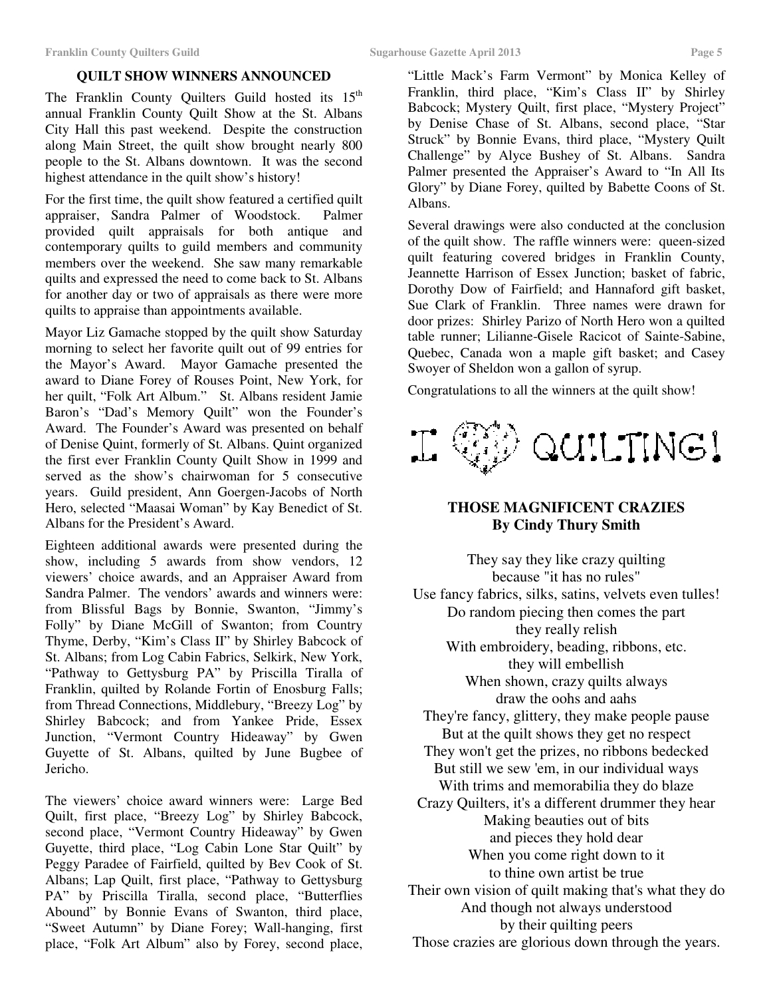#### **QUILT SHOW WINNERS ANNOUNCED**

The Franklin County Quilters Guild hosted its 15<sup>th</sup> annual Franklin County Quilt Show at the St. Albans City Hall this past weekend. Despite the construction along Main Street, the quilt show brought nearly 800 people to the St. Albans downtown. It was the second highest attendance in the quilt show's history!

For the first time, the quilt show featured a certified quilt appraiser, Sandra Palmer of Woodstock. Palmer provided quilt appraisals for both antique and contemporary quilts to guild members and community members over the weekend. She saw many remarkable quilts and expressed the need to come back to St. Albans for another day or two of appraisals as there were more quilts to appraise than appointments available.

Mayor Liz Gamache stopped by the quilt show Saturday morning to select her favorite quilt out of 99 entries for the Mayor's Award. Mayor Gamache presented the award to Diane Forey of Rouses Point, New York, for her quilt, "Folk Art Album." St. Albans resident Jamie Baron's "Dad's Memory Quilt" won the Founder's Award. The Founder's Award was presented on behalf of Denise Quint, formerly of St. Albans. Quint organized the first ever Franklin County Quilt Show in 1999 and served as the show's chairwoman for 5 consecutive years. Guild president, Ann Goergen-Jacobs of North Hero, selected "Maasai Woman" by Kay Benedict of St. Albans for the President's Award.

Eighteen additional awards were presented during the show, including 5 awards from show vendors, 12 viewers' choice awards, and an Appraiser Award from Sandra Palmer. The vendors' awards and winners were: from Blissful Bags by Bonnie, Swanton, "Jimmy's Folly" by Diane McGill of Swanton; from Country Thyme, Derby, "Kim's Class II" by Shirley Babcock of St. Albans; from Log Cabin Fabrics, Selkirk, New York, "Pathway to Gettysburg PA" by Priscilla Tiralla of Franklin, quilted by Rolande Fortin of Enosburg Falls; from Thread Connections, Middlebury, "Breezy Log" by Shirley Babcock; and from Yankee Pride, Essex Junction, "Vermont Country Hideaway" by Gwen Guyette of St. Albans, quilted by June Bugbee of Jericho.

The viewers' choice award winners were: Large Bed Quilt, first place, "Breezy Log" by Shirley Babcock, second place, "Vermont Country Hideaway" by Gwen Guyette, third place, "Log Cabin Lone Star Quilt" by Peggy Paradee of Fairfield, quilted by Bev Cook of St. Albans; Lap Quilt, first place, "Pathway to Gettysburg PA" by Priscilla Tiralla, second place, "Butterflies Abound" by Bonnie Evans of Swanton, third place, "Sweet Autumn" by Diane Forey; Wall-hanging, first place, "Folk Art Album" also by Forey, second place,

"Little Mack's Farm Vermont" by Monica Kelley of Franklin, third place, "Kim's Class II" by Shirley Babcock; Mystery Quilt, first place, "Mystery Project" by Denise Chase of St. Albans, second place, "Star Struck" by Bonnie Evans, third place, "Mystery Quilt Challenge" by Alyce Bushey of St. Albans. Sandra Palmer presented the Appraiser's Award to "In All Its Glory" by Diane Forey, quilted by Babette Coons of St. Albans.

Several drawings were also conducted at the conclusion of the quilt show. The raffle winners were: queen-sized quilt featuring covered bridges in Franklin County, Jeannette Harrison of Essex Junction; basket of fabric, Dorothy Dow of Fairfield; and Hannaford gift basket, Sue Clark of Franklin. Three names were drawn for door prizes: Shirley Parizo of North Hero won a quilted table runner; Lilianne-Gisele Racicot of Sainte-Sabine, Quebec, Canada won a maple gift basket; and Casey Swoyer of Sheldon won a gallon of syrup.

Congratulations to all the winners at the quilt show!



#### **THOSE MAGNIFICENT CRAZIES By Cindy Thury Smith**

They say they like crazy quilting because "it has no rules" Use fancy fabrics, silks, satins, velvets even tulles! Do random piecing then comes the part they really relish With embroidery, beading, ribbons, etc. they will embellish When shown, crazy quilts always draw the oohs and aahs They're fancy, glittery, they make people pause But at the quilt shows they get no respect They won't get the prizes, no ribbons bedecked But still we sew 'em, in our individual ways With trims and memorabilia they do blaze Crazy Quilters, it's a different drummer they hear Making beauties out of bits and pieces they hold dear When you come right down to it to thine own artist be true Their own vision of quilt making that's what they do And though not always understood by their quilting peers Those crazies are glorious down through the years.